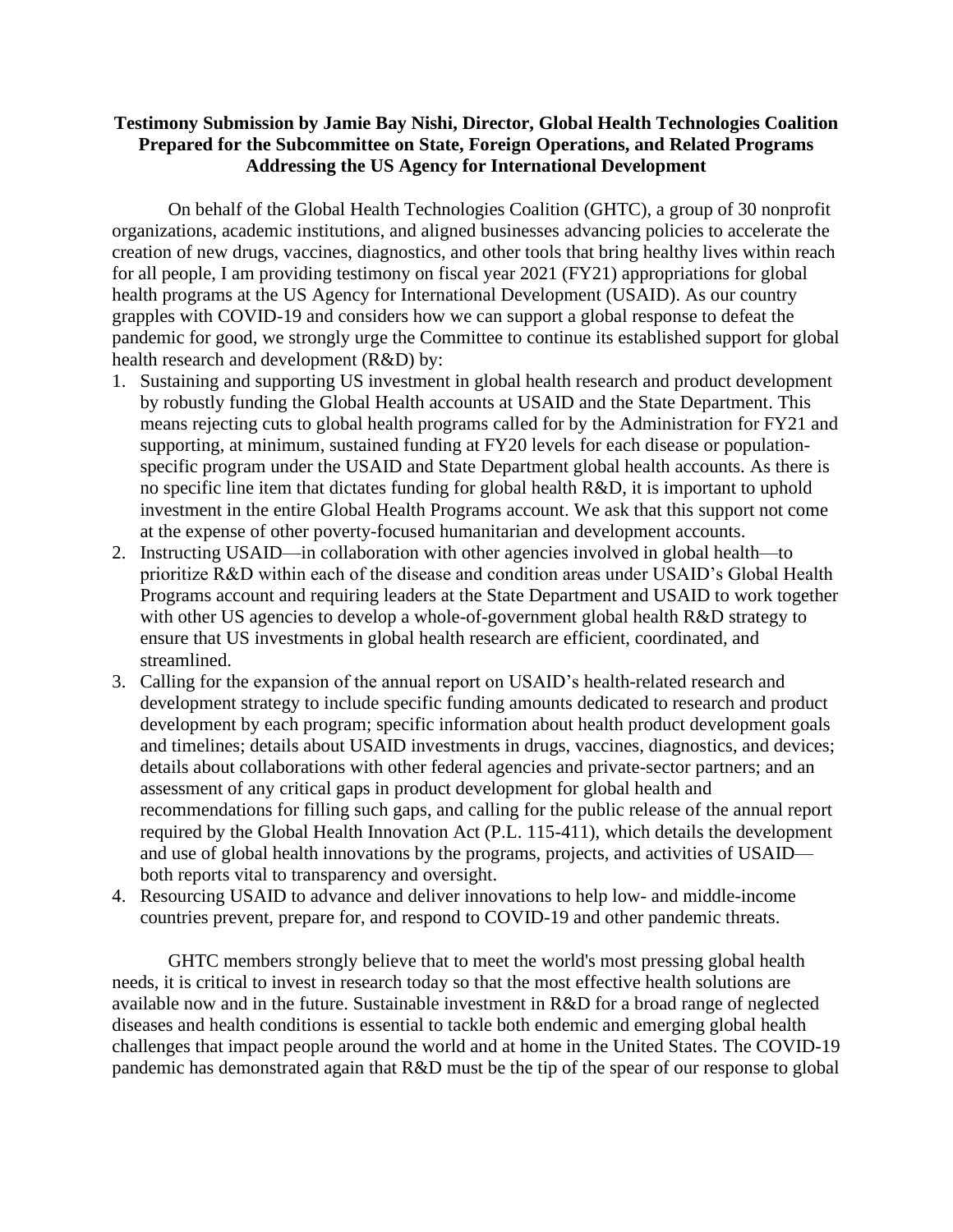## **Testimony Submission by Jamie Bay Nishi, Director, Global Health Technologies Coalition Prepared for the Subcommittee on State, Foreign Operations, and Related Programs Addressing the US Agency for International Development**

On behalf of the Global Health Technologies Coalition (GHTC), a group of 30 nonprofit organizations, academic institutions, and aligned businesses advancing policies to accelerate the creation of new drugs, vaccines, diagnostics, and other tools that bring healthy lives within reach for all people, I am providing testimony on fiscal year 2021 (FY21) appropriations for global health programs at the US Agency for International Development (USAID). As our country grapples with COVID-19 and considers how we can support a global response to defeat the pandemic for good, we strongly urge the Committee to continue its established support for global health research and development (R&D) by:

- 1. Sustaining and supporting US investment in global health research and product development by robustly funding the Global Health accounts at USAID and the State Department. This means rejecting cuts to global health programs called for by the Administration for FY21 and supporting, at minimum, sustained funding at FY20 levels for each disease or populationspecific program under the USAID and State Department global health accounts. As there is no specific line item that dictates funding for global health R&D, it is important to uphold investment in the entire Global Health Programs account. We ask that this support not come at the expense of other poverty-focused humanitarian and development accounts.
- 2. Instructing USAID—in collaboration with other agencies involved in global health—to prioritize R&D within each of the disease and condition areas under USAID's Global Health Programs account and requiring leaders at the State Department and USAID to work together with other US agencies to develop a whole-of-government global health R&D strategy to ensure that US investments in global health research are efficient, coordinated, and streamlined.
- 3. Calling for the expansion of the annual report on USAID's health-related research and development strategy to include specific funding amounts dedicated to research and product development by each program; specific information about health product development goals and timelines; details about USAID investments in drugs, vaccines, diagnostics, and devices; details about collaborations with other federal agencies and private-sector partners; and an assessment of any critical gaps in product development for global health and recommendations for filling such gaps, and calling for the public release of the annual report required by the Global Health Innovation Act (P.L. 115-411), which details the development and use of global health innovations by the programs, projects, and activities of USAID both reports vital to transparency and oversight.
- 4. Resourcing USAID to advance and deliver innovations to help low- and middle-income countries prevent, prepare for, and respond to COVID-19 and other pandemic threats.

GHTC members strongly believe that to meet the world's most pressing global health needs, it is critical to invest in research today so that the most effective health solutions are available now and in the future. Sustainable investment in R&D for a broad range of neglected diseases and health conditions is essential to tackle both endemic and emerging global health challenges that impact people around the world and at home in the United States. The COVID-19 pandemic has demonstrated again that R&D must be the tip of the spear of our response to global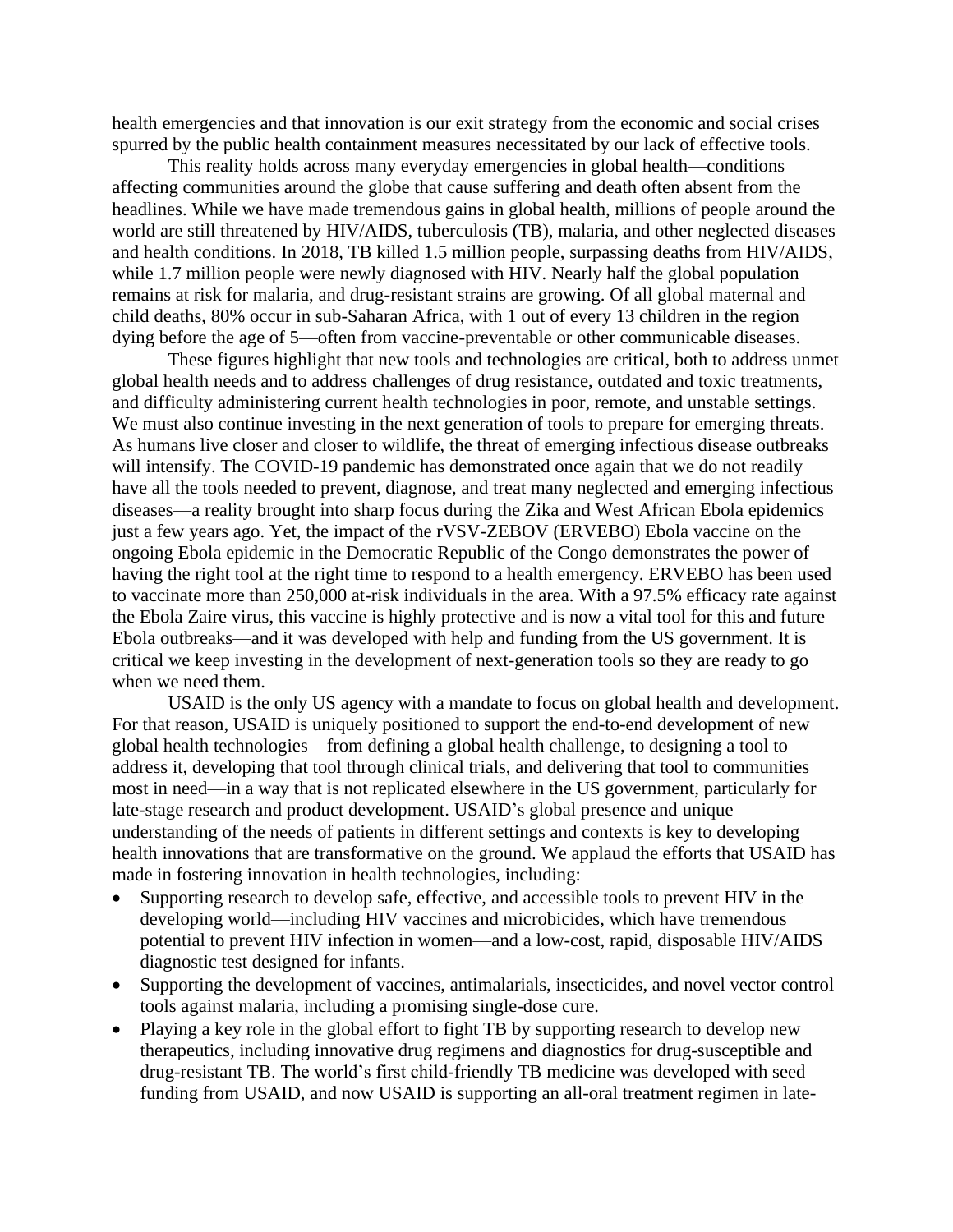health emergencies and that innovation is our exit strategy from the economic and social crises spurred by the public health containment measures necessitated by our lack of effective tools.

This reality holds across many everyday emergencies in global health—conditions affecting communities around the globe that cause suffering and death often absent from the headlines. While we have made tremendous gains in global health, millions of people around the world are still threatened by HIV/AIDS, tuberculosis (TB), malaria, and other neglected diseases and health conditions. In 2018, TB killed 1.5 million people, surpassing deaths from HIV/AIDS, while 1.7 million people were newly diagnosed with HIV. Nearly half the global population remains at risk for malaria, and drug-resistant strains are growing. Of all global maternal and child deaths, 80% occur in sub-Saharan Africa, with 1 out of every 13 children in the region dying before the age of 5—often from vaccine-preventable or other communicable diseases.

These figures highlight that new tools and technologies are critical, both to address unmet global health needs and to address challenges of drug resistance, outdated and toxic treatments, and difficulty administering current health technologies in poor, remote, and unstable settings. We must also continue investing in the next generation of tools to prepare for emerging threats. As humans live closer and closer to wildlife, the threat of emerging infectious disease outbreaks will intensify. The COVID-19 pandemic has demonstrated once again that we do not readily have all the tools needed to prevent, diagnose, and treat many neglected and emerging infectious diseases—a reality brought into sharp focus during the Zika and West African Ebola epidemics just a few years ago. Yet, the impact of the rVSV-ZEBOV (ERVEBO) Ebola vaccine on the ongoing Ebola epidemic in the Democratic Republic of the Congo demonstrates the power of having the right tool at the right time to respond to a health emergency. ERVEBO has been used to vaccinate more than 250,000 at-risk individuals in the area. With a 97.5% efficacy rate against the Ebola Zaire virus, this vaccine is highly protective and is now a vital tool for this and future Ebola outbreaks—and it was developed with help and funding from the US government. It is critical we keep investing in the development of next-generation tools so they are ready to go when we need them.

USAID is the only US agency with a mandate to focus on global health and development. For that reason, USAID is uniquely positioned to support the end-to-end development of new global health technologies—from defining a global health challenge, to designing a tool to address it, developing that tool through clinical trials, and delivering that tool to communities most in need—in a way that is not replicated elsewhere in the US government, particularly for late-stage research and product development. USAID's global presence and unique understanding of the needs of patients in different settings and contexts is key to developing health innovations that are transformative on the ground. We applaud the efforts that USAID has made in fostering innovation in health technologies, including:

- Supporting research to develop safe, effective, and accessible tools to prevent HIV in the developing world—including HIV vaccines and microbicides, which have tremendous potential to prevent HIV infection in women—and a low-cost, rapid, disposable HIV/AIDS diagnostic test designed for infants.
- Supporting the development of vaccines, antimalarials, insecticides, and novel vector control tools against malaria, including a promising single-dose cure.
- Playing a key role in the global effort to fight TB by supporting research to develop new therapeutics, including innovative drug regimens and diagnostics for drug-susceptible and drug-resistant TB. The world's first child-friendly TB medicine was developed with seed funding from USAID, and now USAID is supporting an all-oral treatment regimen in late-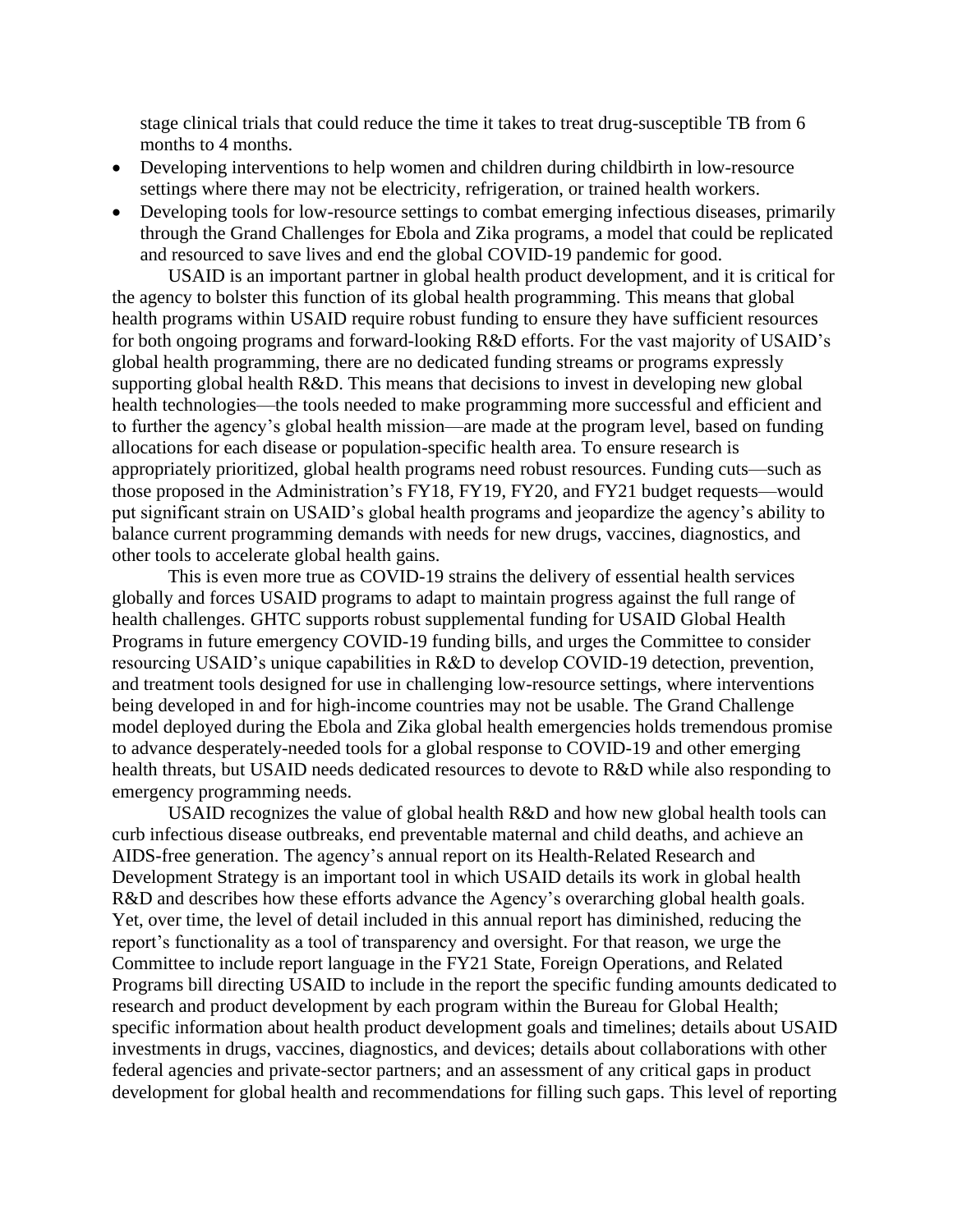stage clinical trials that could reduce the time it takes to treat drug-susceptible TB from 6 months to 4 months.

- Developing interventions to help women and children during childbirth in low-resource settings where there may not be electricity, refrigeration, or trained health workers.
- Developing tools for low-resource settings to combat emerging infectious diseases, primarily through the Grand Challenges for Ebola and Zika programs, a model that could be replicated and resourced to save lives and end the global COVID-19 pandemic for good.

USAID is an important partner in global health product development, and it is critical for the agency to bolster this function of its global health programming. This means that global health programs within USAID require robust funding to ensure they have sufficient resources for both ongoing programs and forward-looking R&D efforts. For the vast majority of USAID's global health programming, there are no dedicated funding streams or programs expressly supporting global health R&D. This means that decisions to invest in developing new global health technologies—the tools needed to make programming more successful and efficient and to further the agency's global health mission—are made at the program level, based on funding allocations for each disease or population-specific health area. To ensure research is appropriately prioritized, global health programs need robust resources. Funding cuts—such as those proposed in the Administration's FY18, FY19, FY20, and FY21 budget requests—would put significant strain on USAID's global health programs and jeopardize the agency's ability to balance current programming demands with needs for new drugs, vaccines, diagnostics, and other tools to accelerate global health gains.

This is even more true as COVID-19 strains the delivery of essential health services globally and forces USAID programs to adapt to maintain progress against the full range of health challenges. GHTC supports robust supplemental funding for USAID Global Health Programs in future emergency COVID-19 funding bills, and urges the Committee to consider resourcing USAID's unique capabilities in R&D to develop COVID-19 detection, prevention, and treatment tools designed for use in challenging low-resource settings, where interventions being developed in and for high-income countries may not be usable. The Grand Challenge model deployed during the Ebola and Zika global health emergencies holds tremendous promise to advance desperately-needed tools for a global response to COVID-19 and other emerging health threats, but USAID needs dedicated resources to devote to R&D while also responding to emergency programming needs.

USAID recognizes the value of global health R&D and how new global health tools can curb infectious disease outbreaks, end preventable maternal and child deaths, and achieve an AIDS-free generation. The agency's annual report on its Health-Related Research and Development Strategy is an important tool in which USAID details its work in global health R&D and describes how these efforts advance the Agency's overarching global health goals. Yet, over time, the level of detail included in this annual report has diminished, reducing the report's functionality as a tool of transparency and oversight. For that reason, we urge the Committee to include report language in the FY21 State, Foreign Operations, and Related Programs bill directing USAID to include in the report the specific funding amounts dedicated to research and product development by each program within the Bureau for Global Health; specific information about health product development goals and timelines; details about USAID investments in drugs, vaccines, diagnostics, and devices; details about collaborations with other federal agencies and private-sector partners; and an assessment of any critical gaps in product development for global health and recommendations for filling such gaps. This level of reporting